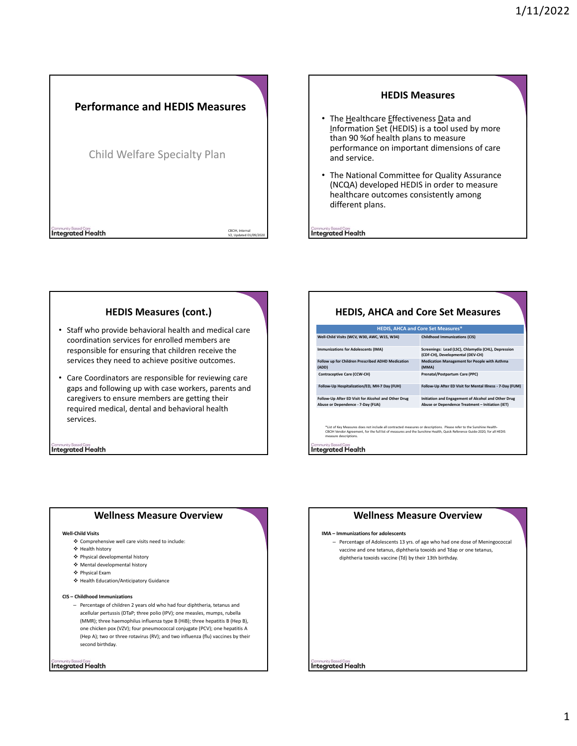

# **HEDIS Measures**

- The Healthcare Effectiveness Data and Information Set (HEDIS) is a tool used by more than 90 %of health plans to measure performance on important dimensions of care and service.
- The National Committee for Quality Assurance (NCQA) developed HEDIS in order to measure healthcare outcomes consistently among different plans.

**Integrated Health** 

# **HEDIS Measures (cont.)**

- Staff who provide behavioral health and medical care coordination services for enrolled members are responsible for ensuring that children receive the services they need to achieve positive outcomes.
- Care Coordinators are responsible for reviewing care gaps and following up with case workers, parents and caregivers to ensure members are getting their required medical, dental and behavioral health services.

**Integrated Health** 

# **HEDIS, AHCA and Core Set Measures**

| <b>HEDIS, AHCA and Core Set Measures*</b>                                                                                                                                                                                                                                 |                                                                                                         |
|---------------------------------------------------------------------------------------------------------------------------------------------------------------------------------------------------------------------------------------------------------------------------|---------------------------------------------------------------------------------------------------------|
| Well-Child Visits (WCV, W30, AWC, W15, W34)                                                                                                                                                                                                                               | <b>Childhood Immunizations (CIS)</b>                                                                    |
| <b>Immunizations for Adolescents (IMA)</b>                                                                                                                                                                                                                                | Screenings: Lead (LSC), Chlamydia (CHL), Depression<br>(CDF-CH), Developmental (DEV-CH)                 |
| Follow up for Children Prescribed ADHD Medication<br>(ADD)                                                                                                                                                                                                                | <b>Medication Management for People with Asthma</b><br>(MMA)                                            |
| Contraceptive Care (CCW-CH)                                                                                                                                                                                                                                               | Prenatal/Postpartum Care (PPC)                                                                          |
| Follow-Up Hospitalization/ED, MH-7 Day (FUH)                                                                                                                                                                                                                              | Follow-Up After ED Visit for Mental Illness - 7-Day (FUM)                                               |
| Follow-Up After ED Visit for Alcohol and Other Drug<br>Abuse or Dependence - 7-Day (FUA)                                                                                                                                                                                  | Initiation and Engagement of Alcohol and Other Drug<br>Abuse or Dependence Treatment - Initiation (IET) |
| *List of Key Measures does not include all contracted measures or descriptions. Please refer to the Sunshine Health-<br>CBCIH Vendor Agreement, for the full list of measures and the Sunshine Health, Quick Reference Guide-2020, for all HEDIS<br>measure descriptions. |                                                                                                         |
| Community Based Care<br>Integrated Health                                                                                                                                                                                                                                 |                                                                                                         |

# **Wellness Measure Overview**

### **Well‐Child Visits**

- Comprehensive well care visits need to include:
- $\div$  Health history
- Physical developmental history
- Mental developmental history
- Physical Exam
- Health Education/Anticipatory Guidance

### **CIS – Childhood Immunizations**

– Percentage of children 2 years old who had four diphtheria, tetanus and acellular pertussis (DTaP; three polio (IPV); one measles, mumps, rubella (MMR); three haemophilus influenza type B (HiB); three hepatitis B (Hep B), one chicken pox (VZV); four pneumococcal conjugate (PCV); one hepatitis A (Hep A); two or three rotavirus (RV); and two influenza (flu) vaccines by their second birthday.

**Integrated Health** 

# **Wellness Measure Overview**

### **IMA – Immunizations for adolescents**

– Percentage of Adolescents 13 yrs. of age who had one dose of Meningococcal vaccine and one tetanus, diphtheria toxoids and Tdap or one tetanus, diphtheria toxoids vaccine (Td) by their 13th birthday.

**Integrated Health**